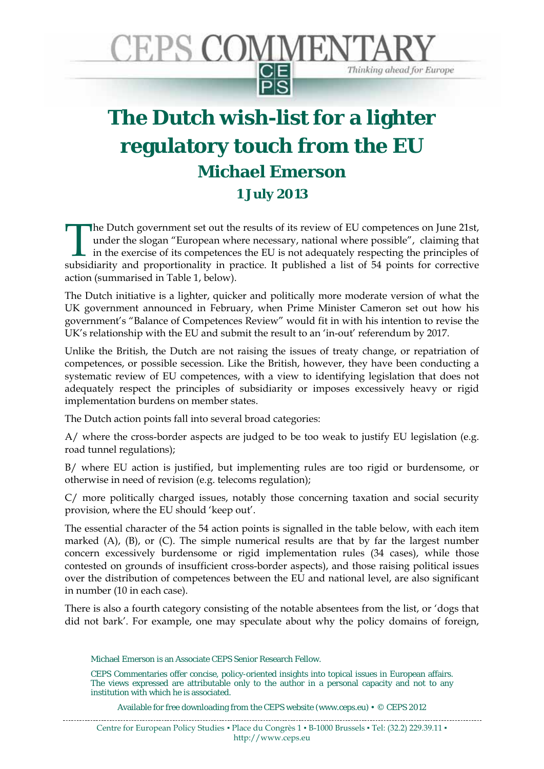

## **The Dutch wish-list for a lighter regulatory touch from the EU Michael Emerson 1 July 2013**

he Dutch government set out the results of its review of EU competences on June 21st, under the slogan "European where necessary, national where possible", claiming that in the exercise of its competences the EU is not adequately respecting the principles of The Dutch government set out the results of its review of EU competences on June 21st, under the slogan "European where necessary, national where possible", claiming that in the exercise of its competences the EU is not ad action (summarised in Table 1, below).

The Dutch initiative is a lighter, quicker and politically more moderate version of what the UK government announced in February, when Prime Minister Cameron set out how his government's "Balance of Competences Review" would fit in with his intention to revise the UK's relationship with the EU and submit the result to an 'in-out' referendum by 2017.

Unlike the British, the Dutch are not raising the issues of treaty change, or repatriation of competences, or possible secession. Like the British, however, they have been conducting a systematic review of EU competences, with a view to identifying legislation that does not adequately respect the principles of subsidiarity or imposes excessively heavy or rigid implementation burdens on member states.

The Dutch action points fall into several broad categories:

A/ where the cross-border aspects are judged to be too weak to justify EU legislation (e.g. road tunnel regulations);

B/ where EU action is justified, but implementing rules are too rigid or burdensome, or otherwise in need of revision (e.g. telecoms regulation);

C/ more politically charged issues, notably those concerning taxation and social security provision, where the EU should 'keep out'.

The essential character of the 54 action points is signalled in the table below, with each item marked (A), (B), or (C). The simple numerical results are that by far the largest number concern excessively burdensome or rigid implementation rules (34 cases), while those contested on grounds of insufficient cross-border aspects), and those raising political issues over the distribution of competences between the EU and national level, are also significant in number (10 in each case).

There is also a fourth category consisting of the notable absentees from the list, or 'dogs that did not bark'. For example, one may speculate about why the policy domains of foreign,

Michael Emerson is an Associate CEPS Senior Research Fellow.

CEPS Commentaries offer concise, policy-oriented insights into topical issues in European affairs. The views expressed are attributable only to the author in a personal capacity and not to any institution with which he is associated.

Available for free downloading from the CEPS website (www.ceps.eu)  $\cdot \circ$  CEPS 2012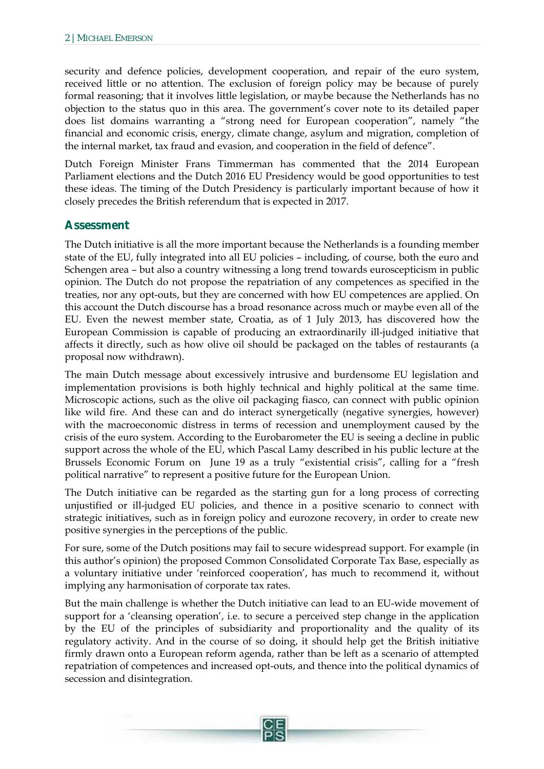security and defence policies, development cooperation, and repair of the euro system, received little or no attention. The exclusion of foreign policy may be because of purely formal reasoning; that it involves little legislation, or maybe because the Netherlands has no objection to the status quo in this area. The government's cover note to its detailed paper does list domains warranting a "strong need for European cooperation", namely "the financial and economic crisis, energy, climate change, asylum and migration, completion of the internal market, tax fraud and evasion, and cooperation in the field of defence".

Dutch Foreign Minister Frans Timmerman has commented that the 2014 European Parliament elections and the Dutch 2016 EU Presidency would be good opportunities to test these ideas. The timing of the Dutch Presidency is particularly important because of how it closely precedes the British referendum that is expected in 2017.

## **Assessment**

The Dutch initiative is all the more important because the Netherlands is a founding member state of the EU, fully integrated into all EU policies – including, of course, both the euro and Schengen area – but also a country witnessing a long trend towards euroscepticism in public opinion. The Dutch do not propose the repatriation of any competences as specified in the treaties, nor any opt-outs, but they are concerned with how EU competences are applied. On this account the Dutch discourse has a broad resonance across much or maybe even all of the EU. Even the newest member state, Croatia, as of 1 July 2013, has discovered how the European Commission is capable of producing an extraordinarily ill-judged initiative that affects it directly, such as how olive oil should be packaged on the tables of restaurants (a proposal now withdrawn).

The main Dutch message about excessively intrusive and burdensome EU legislation and implementation provisions is both highly technical and highly political at the same time. Microscopic actions, such as the olive oil packaging fiasco, can connect with public opinion like wild fire. And these can and do interact synergetically (negative synergies, however) with the macroeconomic distress in terms of recession and unemployment caused by the crisis of the euro system. According to the Eurobarometer the EU is seeing a decline in public support across the whole of the EU, which Pascal Lamy described in his public lecture at the Brussels Economic Forum on June 19 as a truly "existential crisis", calling for a "fresh political narrative" to represent a positive future for the European Union.

The Dutch initiative can be regarded as the starting gun for a long process of correcting unjustified or ill-judged EU policies, and thence in a positive scenario to connect with strategic initiatives, such as in foreign policy and eurozone recovery, in order to create new positive synergies in the perceptions of the public.

For sure, some of the Dutch positions may fail to secure widespread support. For example (in this author's opinion) the proposed Common Consolidated Corporate Tax Base, especially as a voluntary initiative under 'reinforced cooperation', has much to recommend it, without implying any harmonisation of corporate tax rates.

But the main challenge is whether the Dutch initiative can lead to an EU-wide movement of support for a 'cleansing operation', i.e. to secure a perceived step change in the application by the EU of the principles of subsidiarity and proportionality and the quality of its regulatory activity. And in the course of so doing, it should help get the British initiative firmly drawn onto a European reform agenda, rather than be left as a scenario of attempted repatriation of competences and increased opt-outs, and thence into the political dynamics of secession and disintegration.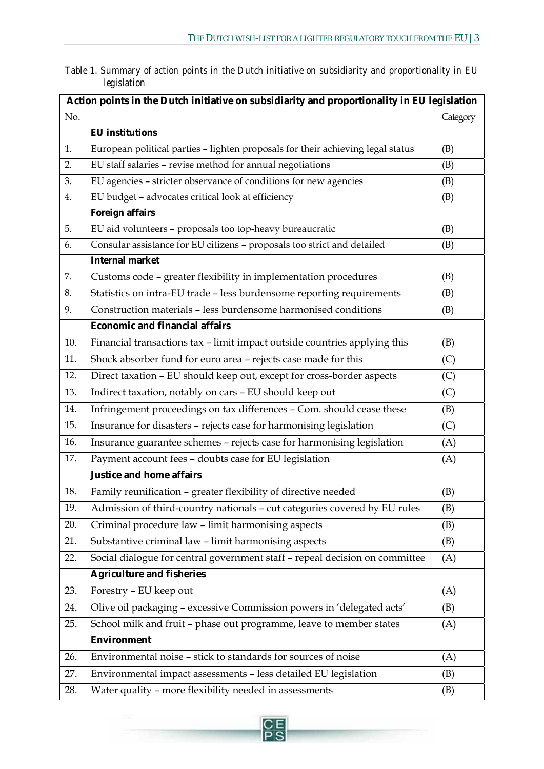| Table 1. Summary of action points in the Dutch initiative on subsidiarity and proportionality in EU |  |  |  |
|-----------------------------------------------------------------------------------------------------|--|--|--|
| legislation                                                                                         |  |  |  |

| Action points in the Dutch initiative on subsidiarity and proportionality in EU legislation |                                                                                 |          |  |  |  |  |  |
|---------------------------------------------------------------------------------------------|---------------------------------------------------------------------------------|----------|--|--|--|--|--|
| No.                                                                                         |                                                                                 | Category |  |  |  |  |  |
|                                                                                             | <b>EU</b> institutions                                                          |          |  |  |  |  |  |
| 1.                                                                                          | European political parties - lighten proposals for their achieving legal status | (B)      |  |  |  |  |  |
| 2.                                                                                          | EU staff salaries - revise method for annual negotiations                       | (B)      |  |  |  |  |  |
| 3.                                                                                          | EU agencies - stricter observance of conditions for new agencies                | (B)      |  |  |  |  |  |
| 4.                                                                                          | EU budget - advocates critical look at efficiency                               | (B)      |  |  |  |  |  |
|                                                                                             | <b>Foreign affairs</b>                                                          |          |  |  |  |  |  |
| 5.                                                                                          | EU aid volunteers - proposals too top-heavy bureaucratic                        | (B)      |  |  |  |  |  |
| 6.                                                                                          | Consular assistance for EU citizens - proposals too strict and detailed         | (B)      |  |  |  |  |  |
|                                                                                             | <b>Internal market</b>                                                          |          |  |  |  |  |  |
| 7.                                                                                          | Customs code - greater flexibility in implementation procedures                 | (B)      |  |  |  |  |  |
| 8.                                                                                          | Statistics on intra-EU trade - less burdensome reporting requirements           | (B)      |  |  |  |  |  |
| 9.                                                                                          | Construction materials - less burdensome harmonised conditions                  | (B)      |  |  |  |  |  |
|                                                                                             | <b>Economic and financial affairs</b>                                           |          |  |  |  |  |  |
| 10.                                                                                         | Financial transactions tax - limit impact outside countries applying this       | (B)      |  |  |  |  |  |
| 11.                                                                                         | Shock absorber fund for euro area - rejects case made for this                  | (C)      |  |  |  |  |  |
| 12.                                                                                         | Direct taxation - EU should keep out, except for cross-border aspects           | (C)      |  |  |  |  |  |
| 13.                                                                                         | Indirect taxation, notably on cars - EU should keep out                         | (C)      |  |  |  |  |  |
| 14.                                                                                         | Infringement proceedings on tax differences - Com. should cease these           | (B)      |  |  |  |  |  |
| 15.                                                                                         | Insurance for disasters - rejects case for harmonising legislation              | (C)      |  |  |  |  |  |
| 16.                                                                                         | Insurance guarantee schemes - rejects case for harmonising legislation          | (A)      |  |  |  |  |  |
| 17.                                                                                         | Payment account fees - doubts case for EU legislation                           | (A)      |  |  |  |  |  |
|                                                                                             | <b>Justice and home affairs</b>                                                 |          |  |  |  |  |  |
| 18.                                                                                         | Family reunification - greater flexibility of directive needed                  | (B)      |  |  |  |  |  |
| 19.                                                                                         | Admission of third-country nationals - cut categories covered by EU rules       | (B)      |  |  |  |  |  |
| 20.                                                                                         | Criminal procedure law - limit harmonising aspects                              | (B)      |  |  |  |  |  |
| 21.                                                                                         | Substantive criminal law - limit harmonising aspects                            | (B)      |  |  |  |  |  |
| 22.                                                                                         | Social dialogue for central government staff - repeal decision on committee     | (A)      |  |  |  |  |  |
|                                                                                             | <b>Agriculture and fisheries</b>                                                |          |  |  |  |  |  |
| 23.                                                                                         | Forestry - EU keep out                                                          | (A)      |  |  |  |  |  |
| 24.                                                                                         | Olive oil packaging - excessive Commission powers in 'delegated acts'           | (B)      |  |  |  |  |  |
| 25.                                                                                         | School milk and fruit - phase out programme, leave to member states             | (A)      |  |  |  |  |  |
| <b>Environment</b>                                                                          |                                                                                 |          |  |  |  |  |  |
| 26.                                                                                         | Environmental noise - stick to standards for sources of noise                   | (A)      |  |  |  |  |  |
| 27.                                                                                         | Environmental impact assessments - less detailed EU legislation                 | (B)      |  |  |  |  |  |
| 28.                                                                                         | Water quality - more flexibility needed in assessments                          | (B)      |  |  |  |  |  |

 $\frac{CE}{PS}$